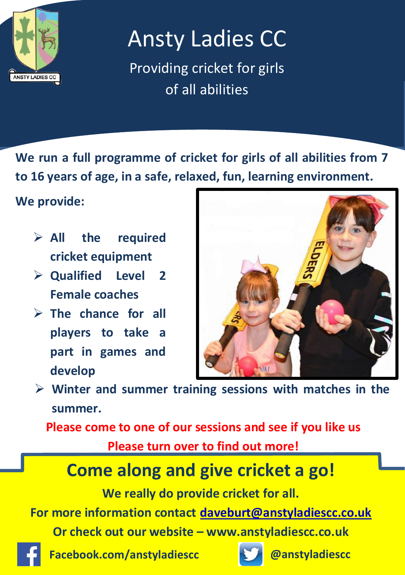

# Ansty Ladies CC

Providing cricket for girls of all abilities

**We run a full programme of cricket for girls of all abilities from 7 to 16 years of age, in a safe, relaxed, fun, learning environment.** 

### **We provide:**

- **All the required cricket equipment**
- **Qualified Level 2 Female coaches**
- **The chance for all players to take a part in games and develop**



 **Winter and summer training sessions with matches in the summer.**

**Please come to one of our sessions and see if you like us**

**Please turn over to find out more!**

### **Come along and give cricket a go!**

**We really do provide cricket for all.**

**For more information contact [daveburt@anstyladiescc.co.uk](mailto:daveburt@anstyladiescc.co.uk)**

**Or check out our website – www.anstyladiescc.co.uk**



**Facebook.com/anstyladiescc @anstyladiescc**